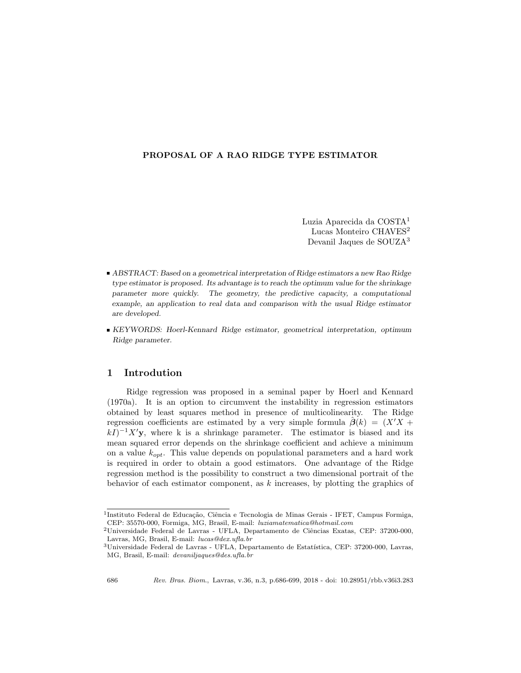## PROPOSAL OF A RAO RIDGE TYPE ESTIMATOR

Luzia Aparecida da COSTA<sup>1</sup> Lucas Monteiro CHAVES<sup>2</sup> Devanil Jaques de SOUZA<sup>3</sup>

- ABSTRACT: Based on a geometrical interpretation of Ridge estimators a new Rao Ridge type estimator is proposed. Its advantage is to reach the optimum value for the shrinkage parameter more quickly. The geometry, the predictive capacity, a computational example, an application to real data and comparison with the usual Ridge estimator are developed.
- KEYWORDS: Hoerl-Kennard Ridge estimator, geometrical interpretation, optimum Ridge parameter.

## 1 Introdution

Ridge regression was proposed in a seminal paper by Hoerl and Kennard (1970a). It is an option to circumvent the instability in regression estimators obtained by least squares method in presence of multicolinearity. The Ridge regression coefficients are estimated by a very simple formula  $\beta(k) = (X'X +$  $(kI)^{-1}X'$ y, where k is a shrinkage parameter. The estimator is biased and its mean squared error depends on the shrinkage coefficient and achieve a minimum on a value  $k_{opt}$ . This value depends on populational parameters and a hard work is required in order to obtain a good estimators. One advantage of the Ridge regression method is the possibility to construct a two dimensional portrait of the behavior of each estimator component, as k increases, by plotting the graphics of

<sup>&</sup>lt;sup>1</sup>Instituto Federal de Educação, Ciência e Tecnologia de Minas Gerais - IFET, Campus Formiga, CEP: 35570-000, Formiga, MG, Brasil, E-mail: luziamatematica@hotmail.com

 $^2$ Universidade Federal de Lavras - UFLA, Departamento de Ciências Exatas, CEP: 37200-000, Lavras, MG, Brasil, E-mail: lucas@dex.ufla.br

 $^3$ Universidade Federal de Lavras - UFLA, Departamento de Estatística, CEP: 37200-000, Lavras, MG, Brasil, E-mail: devaniljaques@des.ufla.br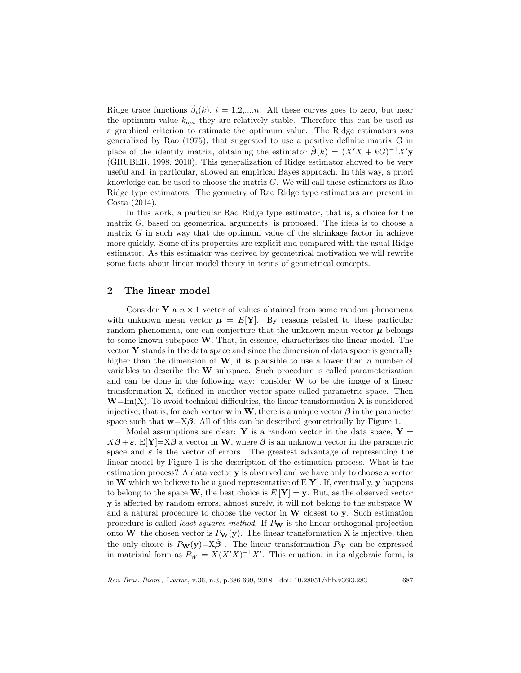Ridge trace functions  $\hat{\beta}_i(k)$ ,  $i = 1, 2, ..., n$ . All these curves goes to zero, but near the optimum value  $k_{opt}$  they are relatively stable. Therefore this can be used as a graphical criterion to estimate the optimum value. The Ridge estimators was generalized by Rao (1975), that suggested to use a positive definite matrix G in place of the identity matrix, obtaining the estimator  $\hat{\boldsymbol{\beta}}(k) = (X'X + kG)^{-1}X'$ **y** (GRUBER, 1998, 2010). This generalization of Ridge estimator showed to be very useful and, in particular, allowed an empirical Bayes approach. In this way, a priori knowledge can be used to choose the matriz G. We will call these estimators as Rao Ridge type estimators. The geometry of Rao Ridge type estimators are present in Costa (2014).

In this work, a particular Rao Ridge type estimator, that is, a choice for the matrix  $G$ , based on geometrical arguments, is proposed. The ideia is to choose a matrix  $G$  in such way that the optimum value of the shrinkage factor in achieve more quickly. Some of its properties are explicit and compared with the usual Ridge estimator. As this estimator was derived by geometrical motivation we will rewrite some facts about linear model theory in terms of geometrical concepts.

# 2 The linear model

Consider **Y** a  $n \times 1$  vector of values obtained from some random phenomena with unknown mean vector  $\mu = E[Y]$ . By reasons related to these particular random phenomena, one can conjecture that the unknown mean vector  $\mu$  belongs to some known subspace  $W$ . That, in essence, characterizes the linear model. The vector  $\bf{Y}$  stands in the data space and since the dimension of data space is generally higher than the dimension of  $W$ , it is plausible to use a lower than n number of variables to describe the W subspace. Such procedure is called parameterization and can be done in the following way: consider  $W$  to be the image of a linear transformation X, defined in another vector space called parametric space. Then  $W=Im(X)$ . To avoid technical difficulties, the linear transformation X is considered injective, that is, for each vector **w** in **W**, there is a unique vector  $\beta$  in the parameter space such that  $\mathbf{w} = \mathbf{X}\boldsymbol{\beta}$ . All of this can be described geometrically by Figure 1.

Model assumptions are clear: Y is a random vector in the data space,  $Y =$  $X\beta + \varepsilon$ , E[Y]=X $\beta$  a vector in W, where  $\beta$  is an unknown vector in the parametric space and  $\varepsilon$  is the vector of errors. The greatest advantage of representing the linear model by Figure 1 is the description of the estimation process. What is the estimation process? A data vector y is observed and we have only to choose a vector in W which we believe to be a good representative of  $E[Y]$ . If, eventually, y happens to belong to the space W, the best choice is  $E[Y] = y$ . But, as the observed vector **y** is affected by random errors, almost surely, it will not belong to the subspace W and a natural procedure to choose the vector in  $W$  closest to  $y$ . Such estimation procedure is called *least squares method*. If  $P_W$  is the linear orthogonal projection onto W, the chosen vector is  $P_W(y)$ . The linear transformation X is injective, then the only choice is  $P_{\mathbf{W}}(\mathbf{y}) = \mathbf{X}\boldsymbol{\beta}$ . The linear transformation  $P_W$  can be expressed in matrixial form as  $P_W = X(X'X)^{-1}X'$ . This equation, in its algebraic form, is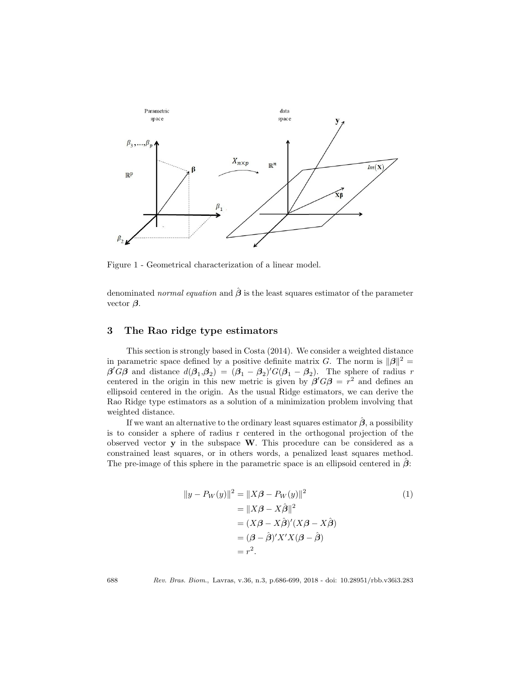

Figure 1 - Geometrical characterization of a linear model.

denominated normal equation and  $\hat{\beta}$  is the least squares estimator of the parameter vector  $\beta$ .

## 3 The Rao ridge type estimators

This section is strongly based in Costa (2014). We consider a weighted distance in parametric space defined by a positive definite matrix G. The norm is  $\|\beta\|^2 =$  $\beta' G\beta$  and distance  $d(\beta_1, \beta_2) = (\beta_1 - \beta_2)' G(\beta_1 - \beta_2)$ . The sphere of radius r centered in the origin in this new metric is given by  $\beta' G \beta = r^2$  and defines an ellipsoid centered in the origin. As the usual Ridge estimators, we can derive the Rao Ridge type estimators as a solution of a minimization problem involving that weighted distance.

If we want an alternative to the ordinary least squares estimator  $\hat{\beta}$ , a possibility is to consider a sphere of radius r centered in the orthogonal projection of the observed vector y in the subspace W. This procedure can be considered as a constrained least squares, or in others words, a penalized least squares method. The pre-image of this sphere in the parametric space is an ellipsoid centered in  $\beta$ :

$$
||y - P_W(y)||^2 = ||X\beta - P_W(y)||^2
$$
  
\n
$$
= ||X\beta - X\hat{\beta}||^2
$$
  
\n
$$
= (X\beta - X\hat{\beta})'(X\beta - X\hat{\beta})
$$
  
\n
$$
= (\beta - \hat{\beta})'X'X(\beta - \hat{\beta})
$$
  
\n
$$
= r^2.
$$
 (1)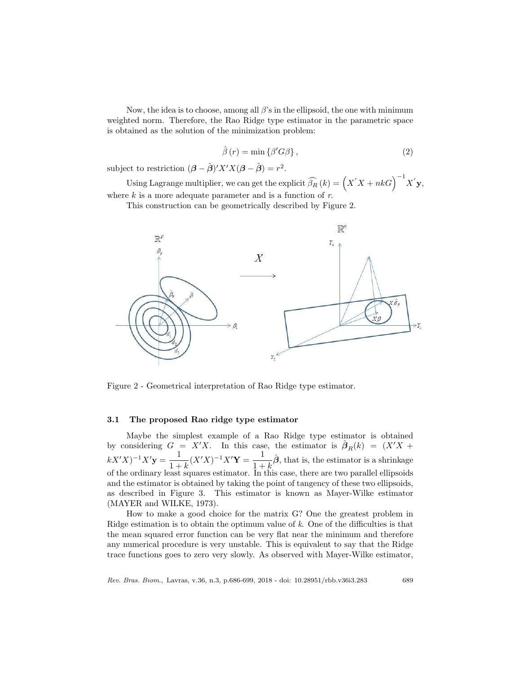Now, the idea is to choose, among all  $\beta$ 's in the ellipsoid, the one with minimum weighted norm. Therefore, the Rao Ridge type estimator in the parametric space is obtained as the solution of the minimization problem:

$$
\hat{\beta}(r) = \min \{ \beta' G \beta \},\tag{2}
$$

subject to restriction  $(\beta - \hat{\beta})'X'X(\beta - \hat{\beta}) = r^2$ .

Using Lagrange multiplier, we can get the explicit  $\widehat{\beta_R}(k) = \left(X'X + nkG\right)^{-1} X'$  y, where  $k$  is a more adequate parameter and is a function of  $r$ .

This construction can be geometrically described by Figure 2.



Figure 2 - Geometrical interpretation of Rao Ridge type estimator.

## 3.1 The proposed Rao ridge type estimator

Maybe the simplest example of a Rao Ridge type estimator is obtained by considering  $G = X'X$ . In this case, the estimator is  $\hat{\beta}_R(k) = (X'X +$  $kX'X^{-1}X'$ **y** =  $\frac{1}{1+x}$  $\frac{1}{1+k}(X'X)^{-1}X'Y = \frac{1}{1+k}$  $\frac{1}{1+k}\hat{\boldsymbol{\beta}}$ , that is, the estimator is a shrinkage of the ordinary least squares estimator. In this case, there are two parallel ellipsoids and the estimator is obtained by taking the point of tangency of these two ellipsoids, as described in Figure 3. This estimator is known as Mayer-Wilke estimator (MAYER and WILKE, 1973).

How to make a good choice for the matrix G? One the greatest problem in Ridge estimation is to obtain the optimum value of k. One of the difficulties is that the mean squared error function can be very flat near the minimum and therefore any numerical procedure is very unstable. This is equivalent to say that the Ridge trace functions goes to zero very slowly. As observed with Mayer-Wilke estimator,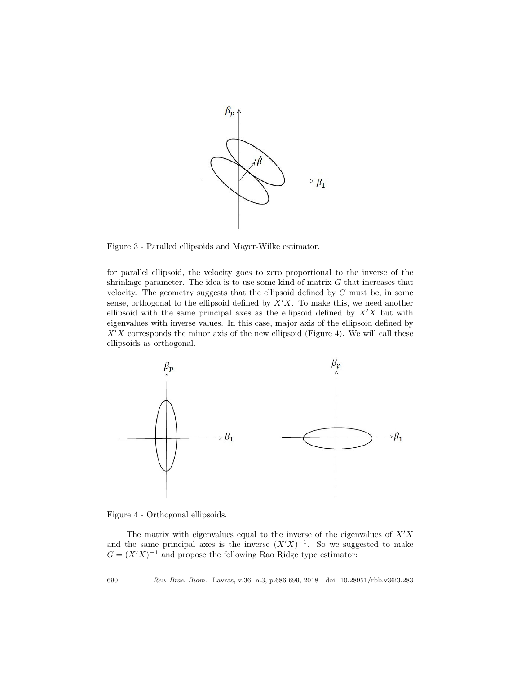

Figure 3 - Paralled ellipsoids and Mayer-Wilke estimator.

for parallel ellipsoid, the velocity goes to zero proportional to the inverse of the shrinkage parameter. The idea is to use some kind of matrix  $G$  that increases that velocity. The geometry suggests that the ellipsoid defined by G must be, in some sense, orthogonal to the ellipsoid defined by  $X'X$ . To make this, we need another ellipsoid with the same principal axes as the ellipsoid defined by  $X'X$  but with eigenvalues with inverse values. In this case, major axis of the ellipsoid defined by  $X'X$  corresponds the minor axis of the new ellipsoid (Figure 4). We will call these ellipsoids as orthogonal.



Figure 4 - Orthogonal ellipsoids.

The matrix with eigenvalues equal to the inverse of the eigenvalues of  $X'X$ and the same principal axes is the inverse  $(X'X)^{-1}$ . So we suggested to make  $G = (X'X)^{-1}$  and propose the following Rao Ridge type estimator: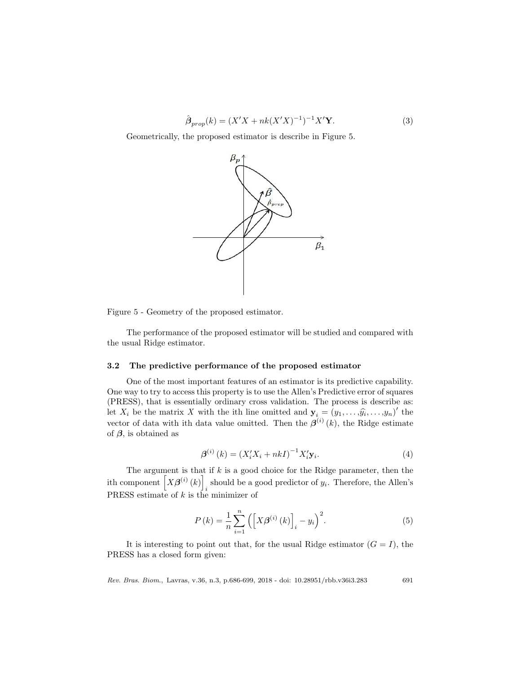$$
\hat{\beta}_{prop}(k) = (X'X + nk(X'X)^{-1})^{-1}X'Y.
$$
\n(3)

Geometrically, the proposed estimator is describe in Figure 5.



Figure 5 - Geometry of the proposed estimator.

The performance of the proposed estimator will be studied and compared with the usual Ridge estimator.

#### 3.2 The predictive performance of the proposed estimator

One of the most important features of an estimator is its predictive capability. One way to try to access this property is to use the Allen's Predictive error of squares (PRESS), that is essentially ordinary cross validation. The process is describe as: let  $X_i$  be the matrix X with the ith line omitted and  $\mathbf{y}_i = (y_1, \ldots, \hat{y_i}, \ldots, y_n)'$  the vector of data with ith data value omitted. Then the  $\beta^{(i)}(k)$ , the Ridge estimate of  $\beta$ , is obtained as

$$
\beta^{(i)}(k) = (X_i' X_i + nkI)^{-1} X_i' \mathbf{y}_i.
$$
\n(4)

The argument is that if  $k$  is a good choice for the Ridge parameter, then the ith component  $[X\beta^{(i)}(k)]$ should be a good predictor of  $y_i$ . Therefore, the Allen's PRESS estimate of  $k$  is the minimizer of

$$
P(k) = \frac{1}{n} \sum_{i=1}^{n} \left( \left[ X \beta^{(i)}(k) \right]_{i} - y_{i} \right)^{2}.
$$
 (5)

It is interesting to point out that, for the usual Ridge estimator  $(G = I)$ , the PRESS has a closed form given: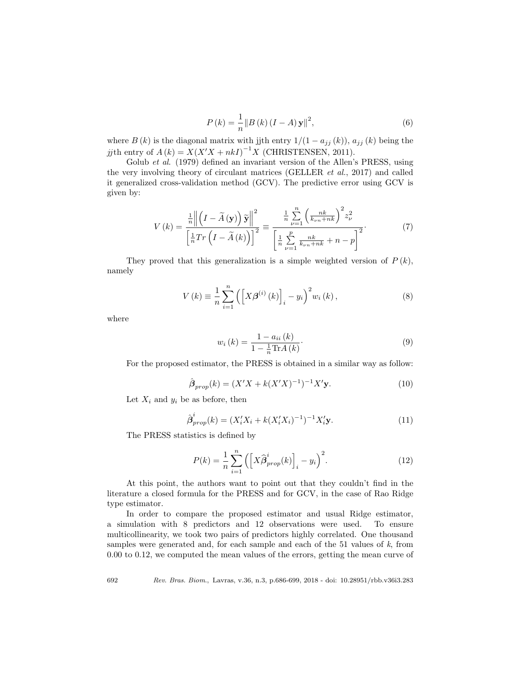$$
P(k) = \frac{1}{n} \|B(k)(I - A)\mathbf{y}\|^2,
$$
\n(6)

where  $B(k)$  is the diagonal matrix with jjth entry  $1/(1 - a_{jj}(k))$ ,  $a_{jj}(k)$  being the jjth entry of  $A(k) = X(X'X + nkI)^{-1}X$  (CHRISTENSEN, 2011).

Golub et al. (1979) defined an invariant version of the Allen's PRESS, using the very involving theory of circulant matrices (GELLER et al., 2017) and called it generalized cross-validation method (GCV). The predictive error using GCV is given by:

$$
V(k) = \frac{\frac{1}{n} \left\| \left(I - \widetilde{A}(\mathbf{y})\right) \widetilde{\mathbf{y}} \right\|^2}{\left[\frac{1}{n} Tr\left(I - \widetilde{A}(k)\right)\right]^2} \equiv \frac{\frac{1}{n} \sum_{\nu=1}^n \left(\frac{nk}{k_{\nu n} + nk}\right)^2 z_{\nu}^2}{\left[\frac{1}{n} \sum_{\nu=1}^p \frac{nk}{k_{\nu n} + nk} + n - p\right]^2}.
$$
 (7)

They proved that this generalization is a simple weighted version of  $P(k)$ , namely

$$
V(k) \equiv \frac{1}{n} \sum_{i=1}^{n} \left( \left[ X \beta^{(i)}(k) \right]_{i} - y_{i} \right)^{2} w_{i}(k), \qquad (8)
$$

where

$$
w_i(k) = \frac{1 - a_{ii}(k)}{1 - \frac{1}{n}\text{Tr}A(k)}.
$$
\n(9)

For the proposed estimator, the PRESS is obtained in a similar way as follow:

$$
\hat{\boldsymbol{\beta}}_{prop}(k) = (X'X + k(X'X)^{-1})^{-1}X'\mathbf{y}.
$$
\n(10)

Let  $X_i$  and  $y_i$  be as before, then

$$
\hat{\boldsymbol{\beta}}_{prop}^{i}(k) = (X_{i}'X_{i} + k(X_{i}'X_{i})^{-1})^{-1}X_{i}'\mathbf{y}.
$$
\n(11)

The PRESS statistics is defined by

$$
P(k) = \frac{1}{n} \sum_{i=1}^{n} \left( \left[ X \hat{\beta}_{prop}^{i}(k) \right]_{i} - y_{i} \right)^{2}.
$$
 (12)

At this point, the authors want to point out that they couldn't find in the literature a closed formula for the PRESS and for GCV, in the case of Rao Ridge type estimator.

In order to compare the proposed estimator and usual Ridge estimator, a simulation with 8 predictors and 12 observations were used. To ensure multicollinearity, we took two pairs of predictors highly correlated. One thousand samples were generated and, for each sample and each of the 51 values of k, from 0.00 to 0.12, we computed the mean values of the errors, getting the mean curve of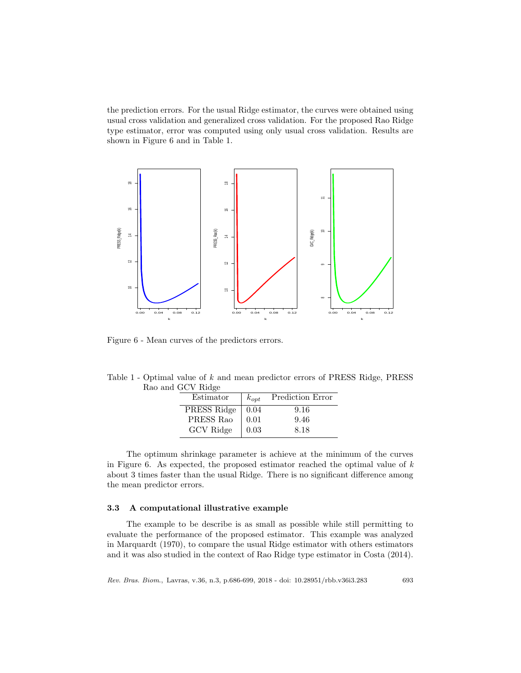the prediction errors. For the usual Ridge estimator, the curves were obtained using usual cross validation and generalized cross validation. For the proposed Rao Ridge type estimator, error was computed using only usual cross validation. Results are shown in Figure 6 and in Table 1.



Figure 6 - Mean curves of the predictors errors.

| Table 1 - Optimal value of $k$ and mean predictor errors of PRESS Ridge, PRESS |  |  |  |  |
|--------------------------------------------------------------------------------|--|--|--|--|
| Rao and GCV Ridge                                                              |  |  |  |  |

| Estimator   | $k_{opt}$ | Prediction Error |
|-------------|-----------|------------------|
| PRESS Ridge | 0.04      | 9.16             |
| PRESS Rao   | 0.01      | 9.46             |
| GCV Ridge   | 0.03      | 8.18             |

The optimum shrinkage parameter is achieve at the minimum of the curves in Figure 6. As expected, the proposed estimator reached the optimal value of  $k$ about 3 times faster than the usual Ridge. There is no significant difference among the mean predictor errors.

#### 3.3 A computational illustrative example

The example to be describe is as small as possible while still permitting to evaluate the performance of the proposed estimator. This example was analyzed in Marquardt (1970), to compare the usual Ridge estimator with others estimators and it was also studied in the context of Rao Ridge type estimator in Costa (2014).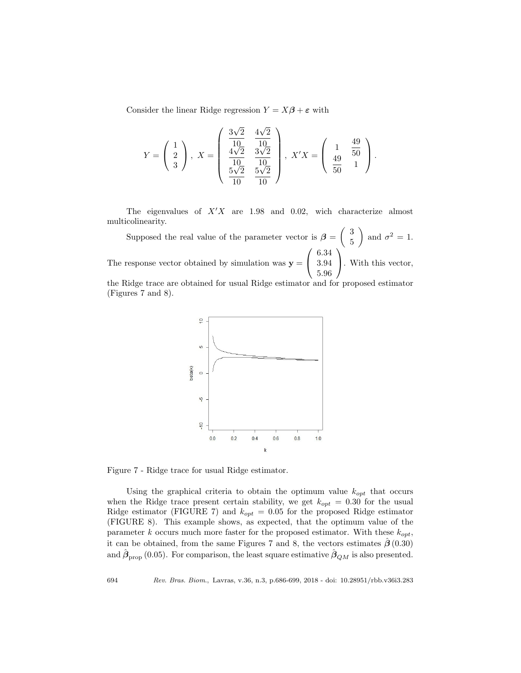Consider the linear Ridge regression  $Y = X\beta + \varepsilon$  with

$$
Y = \begin{pmatrix} 1 \\ 2 \\ 3 \end{pmatrix}, X = \begin{pmatrix} \frac{3\sqrt{2}}{10} & \frac{4\sqrt{2}}{10} \\ \frac{4\sqrt{2}}{10} & \frac{3\sqrt{2}}{10} \\ \frac{5\sqrt{2}}{10} & \frac{5\sqrt{2}}{10} \end{pmatrix}, X'X = \begin{pmatrix} 1 & \frac{49}{50} \\ \frac{49}{50} & 1 \end{pmatrix}.
$$

The eigenvalues of  $X'X$  are 1.98 and 0.02, wich characterize almost multicolinearity.

Supposed the real value of the parameter vector is  $\beta = \begin{pmatrix} 3 \\ 5 \end{pmatrix}$ 5 ) and  $\sigma^2 = 1$ . The response vector obtained by simulation was  $y =$  $\sqrt{ }$  $\mathcal{L}$ 6.34 3.94 5.96  $\setminus$ . With this vector, the Ridge trace are obtained for usual Ridge estimator and for proposed estimator





Figure 7 - Ridge trace for usual Ridge estimator.

Using the graphical criteria to obtain the optimum value  $k_{opt}$  that occurs when the Ridge trace present certain stability, we get  $k_{opt} = 0.30$  for the usual Ridge estimator (FIGURE 7) and  $k_{opt} = 0.05$  for the proposed Ridge estimator (FIGURE 8). This example shows, as expected, that the optimum value of the parameter k occurs much more faster for the proposed estimator. With these  $k_{opt}$ , it can be obtained, from the same Figures 7 and 8, the vectors estimates  $\hat{\boldsymbol{\beta}}(0.30)$ and  $\hat{\beta}_{\text{prop}}(0.05)$ . For comparison, the least square estimative  $\hat{\beta}_{QM}$  is also presented.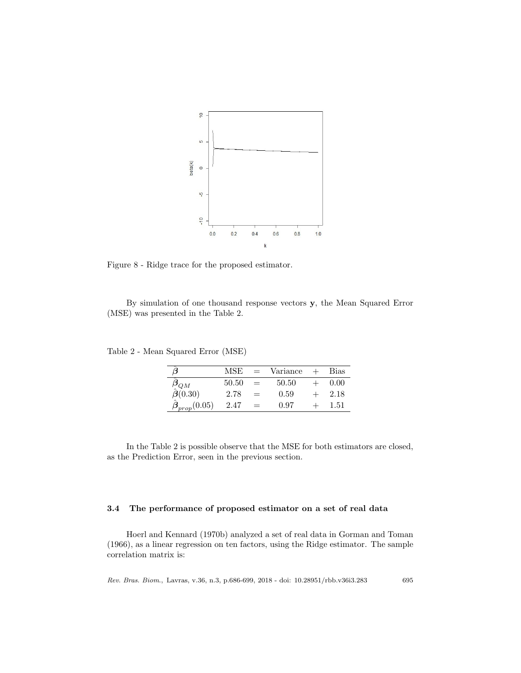

Figure 8 - Ridge trace for the proposed estimator.

By simulation of one thousand response vectors y, the Mean Squared Error (MSE) was presented in the Table 2.

Table 2 - Mean Squared Error (MSE)

|                                                        | MSE   | $=$ | Variance | <b>Bias</b> |
|--------------------------------------------------------|-------|-----|----------|-------------|
| $\frac{\hat{\bm{\beta}}_{QM}}{\hat{\bm{\beta}}(0.30)}$ | 50.50 | $=$ | 50.50    | 0.00        |
|                                                        | 2.78  | $=$ | 0.59     | 2.18        |
| $\beta_{prop}(0.05)$                                   | 2.47  | $=$ | 0.97     | 1.51        |

In the Table 2 is possible observe that the MSE for both estimators are closed, as the Prediction Error, seen in the previous section.

## 3.4 The performance of proposed estimator on a set of real data

Hoerl and Kennard (1970b) analyzed a set of real data in Gorman and Toman (1966), as a linear regression on ten factors, using the Ridge estimator. The sample correlation matrix is: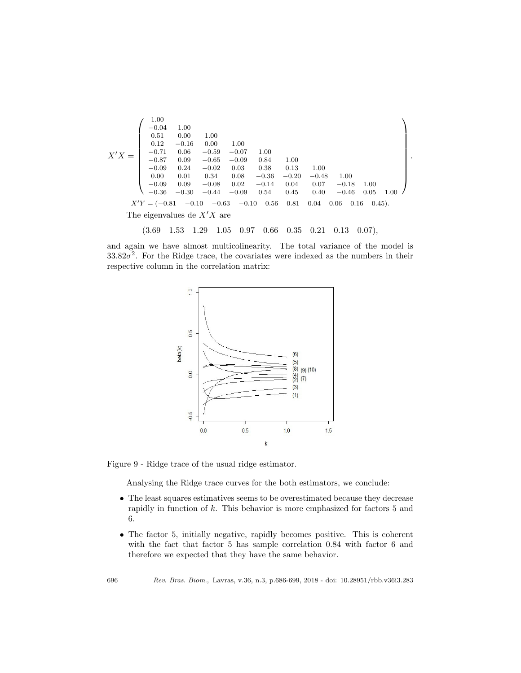

## (3.69 1.53 1.29 1.05 0.97 0.66 0.35 0.21 0.13 0.07),

and again we have almost multicolinearity. The total variance of the model is  $33.82\sigma^2$ . For the Ridge trace, the covariates were indexed as the numbers in their respective column in the correlation matrix:



Figure 9 - Ridge trace of the usual ridge estimator.

Analysing the Ridge trace curves for the both estimators, we conclude:

- The least squares estimatives seems to be overestimated because they decrease rapidly in function of  $k$ . This behavior is more emphasized for factors  $5$  and 6.
- The factor 5, initially negative, rapidly becomes positive. This is coherent with the fact that factor 5 has sample correlation 0.84 with factor 6 and therefore we expected that they have the same behavior.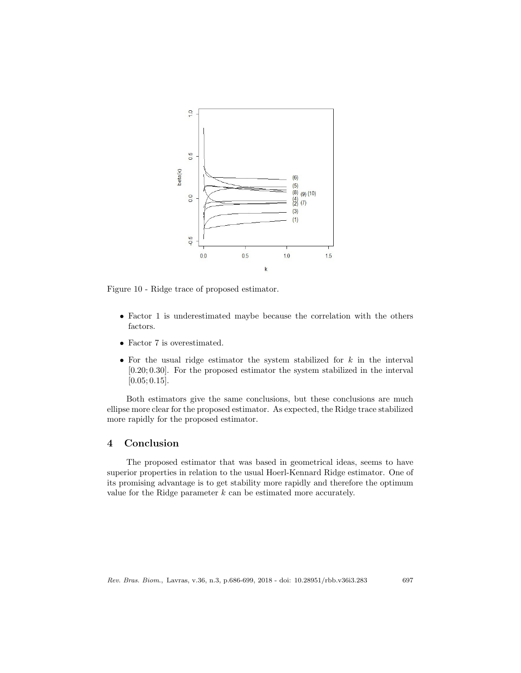

Figure 10 - Ridge trace of proposed estimator.

- Factor 1 is underestimated maybe because the correlation with the others factors.
- Factor 7 is overestimated.
- For the usual ridge estimator the system stabilized for  $k$  in the interval [0.20; 0.30]. For the proposed estimator the system stabilized in the interval [0.05; 0.15].

Both estimators give the same conclusions, but these conclusions are much ellipse more clear for the proposed estimator. As expected, the Ridge trace stabilized more rapidly for the proposed estimator.

# 4 Conclusion

The proposed estimator that was based in geometrical ideas, seems to have superior properties in relation to the usual Hoerl-Kennard Ridge estimator. One of its promising advantage is to get stability more rapidly and therefore the optimum value for the Ridge parameter  $k$  can be estimated more accurately.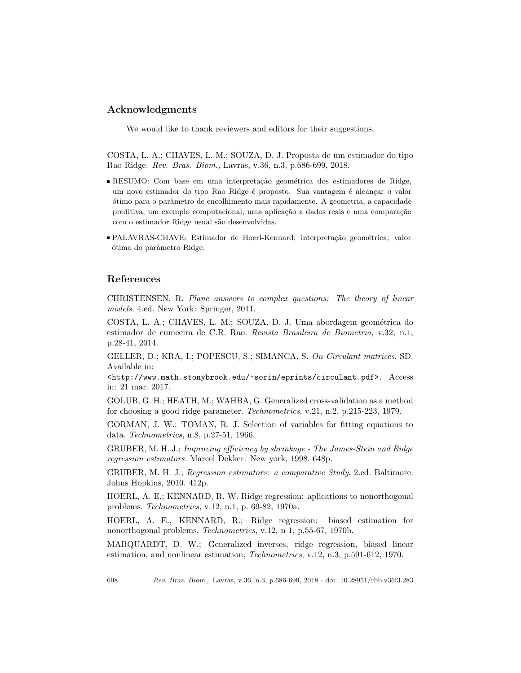# Acknowledgments

We would like to thank reviewers and editors for their suggestions.

COSTA, L. A.; CHAVES, L. M.; SOUZA, D. J. Proposta de um estimador do tipo Rao Ridge. Rev. Bras. Biom., Lavras, v.36, n.3, p.686-699, 2018.

- RESUMO: Com base em uma interpretação geométrica dos estimadores de Ridge, um novo estimador do tipo Rao Ridge é proposto. Sua vantagem é alcançar o valor ´otimo para o parˆametro de encolhimento mais rapidamente. A geometria, a capacidade preditiva, um exemplo computacional, uma aplicação a dados reais e uma comparação com o estimador Ridge usual s˜ao desenvolvidas.
- PALAVRAS-CHAVE: Estimador de Hoerl-Kennard; interpretação geométrica; valor ótimo do parâmetro Ridge.

## References

CHRISTENSEN, R. Plane answers to complex questions: The theory of linear models. 4.ed. New York: Springer, 2011.

COSTA, L. A.; CHAVES, L. M.; SOUZA, D. J. Uma abordagem geométrica do estimador de cumeeira de C.R. Rao. Revista Brasileira de Biometria, v.32, n.1, p.28-41, 2014.

GELLER, D.; KRA, I.; POPESCU, S.; SIMANCA, S. On Circulant matrices. SD. Available in:

<http://www.math.stonybrook.edu/~sorin/eprints/circulant.pdf>. Access in: 21 mar. 2017.

GOLUB, G. H.; HEATH, M.; WAHBA, G. Generalized cross-validation as a method for choosing a good ridge parameter. Technometrics, v.21, n.2, p.215-223, 1979.

GORMAN, J. W.; TOMAN, R. J. Selection of variables for fitting equations to data. Technometrics, n.8, p.27-51, 1966.

GRUBER, M. H. J.; Improving efficiency by shrinkage - The James-Stein and Ridge regression estimators. Marcel Dekker: New york, 1998. 648p.

GRUBER, M. H. J.; Regression estimators: a comparative Study. 2.ed. Baltimore: Johns Hopkins, 2010. 412p.

HOERL, A. E.; KENNARD, R. W. Ridge regression: aplications to nonorthogonal problems. Technometrics, v.12, n.1, p. 69-82, 1970a.

HOERL, A. E., KENNARD, R.; Ridge regression: biased estimation for nonorthogonal problems. Technometrics, v.12, n 1, p.55-67, 1970b.

MARQUARDT, D. W.; Generalized inverses, ridge regression, biased linear estimation, and nonlinear estimation, Technometrics, v.12, n.3, p.591-612, 1970.